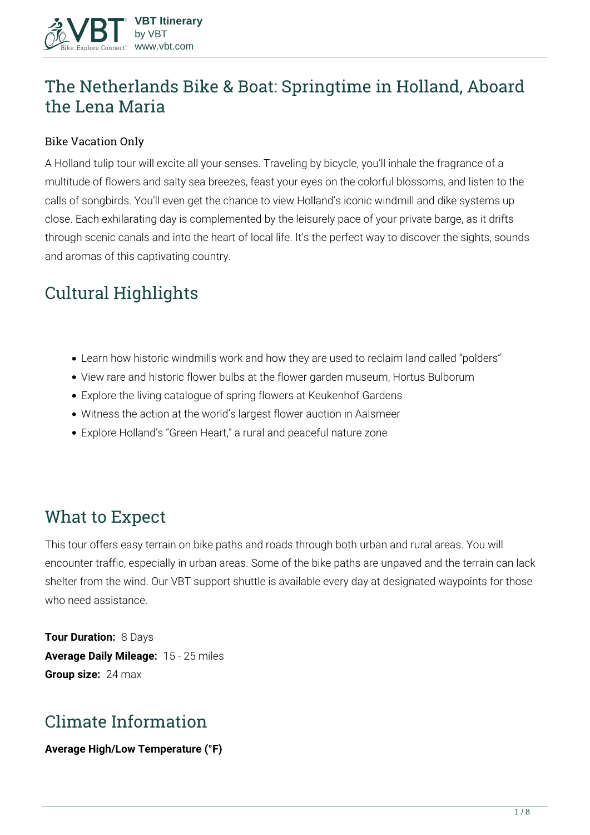## **The Netherlands Bike & Boat: Springtime in Holland, Aboard the Lena Maria**

### Bike Vacation Only

A Holland tulip tour will excite all your senses. Traveling by bicycle, you'll inhale the fragrance of a multitude of flowers and salty sea breezes, feast your eyes on the colorful blossoms, and listen to the calls of songbirds. You'll even get the chance to view Holland's iconic windmill and dike systems up close. Each exhilarating day is complemented by the leisurely pace of your private barge, as it drifts through scenic canals and into the heart of local life. It's the perfect way to discover the sights, sounds and aromas of this captivating country.

# **Cultural Highlights**

- Learn how historic windmills work and how they are used to reclaim land called "polders"
- View rare and historic flower bulbs at the flower garden museum, Hortus Bulborum
- Explore the living catalogue of spring flowers at Keukenhof Gardens
- Witness the action at the world's largest flower auction in Aalsmeer
- Explore Holland's "Green Heart," a rural and peaceful nature zone

# **What to Expect**

This tour offers easy terrain on bike paths and roads through both urban and rural areas. You will encounter traffic, especially in urban areas. Some of the bike paths are unpaved and the terrain can lack shelter from the wind. Our VBT support shuttle is available every day at designated waypoints for those who need assistance.

**Tour Duration:** 8 Days **Average Daily Mileage:** 15 - 25 miles **Group size:** 24 max

# **Climate Information**

**Average High/Low Temperature (°F)**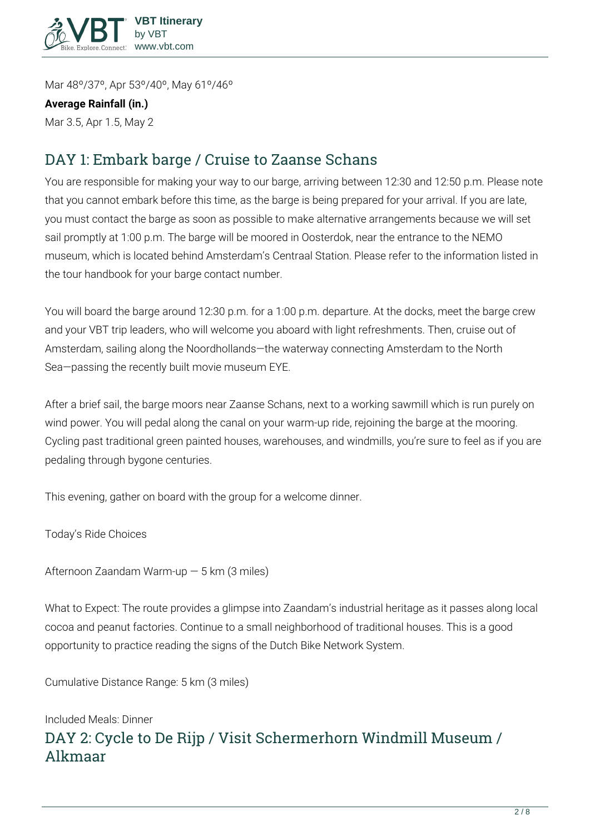

Mar 48º/37º, Apr 53º/40º, May 61º/46º **Average Rainfall (in.)** Mar 3.5, Apr 1.5, May 2

## **DAY 1: Embark barge / Cruise to Zaanse Schans**

You are responsible for making your way to our barge, arriving between 12:30 and 12:50 p.m. Please note that you cannot embark before this time, as the barge is being prepared for your arrival. If you are late, you must contact the barge as soon as possible to make alternative arrangements because we will set sail promptly at 1:00 p.m. The barge will be moored in Oosterdok, near the entrance to the NEMO museum, which is located behind Amsterdam's Centraal Station. Please refer to the information listed in the tour handbook for your barge contact number.

You will board the barge around 12:30 p.m. for a 1:00 p.m. departure. At the docks, meet the barge crew and your VBT trip leaders, who will welcome you aboard with light refreshments. Then, cruise out of Amsterdam, sailing along the Noordhollands—the waterway connecting Amsterdam to the North Sea—passing the recently built movie museum EYE.

After a brief sail, the barge moors near Zaanse Schans, next to a working sawmill which is run purely on wind power. You will pedal along the canal on your warm-up ride, rejoining the barge at the mooring. Cycling past traditional green painted houses, warehouses, and windmills, you're sure to feel as if you are pedaling through bygone centuries.

This evening, gather on board with the group for a welcome dinner.

**Today's Ride Choices**

**Afternoon** Zaandam Warm-up — 5 km (3 miles)

**What to Expect:** The route provides a glimpse into Zaandam's industrial heritage as it passes along local cocoa and peanut factories. Continue to a small neighborhood of traditional houses. This is a good opportunity to practice reading the signs of the Dutch Bike Network System.

**Cumulative Distance Range:** 5 km (3 miles)

**Included Meals:** Dinner **DAY 2: Cycle to De Rijp / Visit Schermerhorn Windmill Museum / Alkmaar**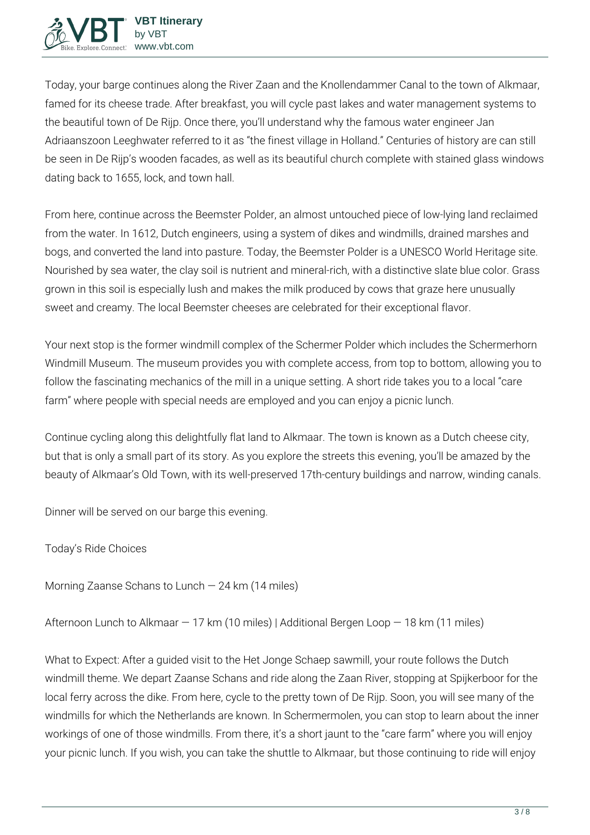Today, your barge continues along the River Zaan and the Knollendammer Canal to the town of Alkmaar, famed for its cheese trade. After breakfast, you will cycle past lakes and water management systems to the beautiful town of De Rijp. Once there, you'll understand why the famous water engineer Jan Adriaanszoon Leeghwater referred to it as "the finest village in Holland." Centuries of history are can still be seen in De Rijp's wooden facades, as well as its beautiful church complete with stained glass windows dating back to 1655, lock, and town hall.

From here, continue across the Beemster Polder, an almost untouched piece of low-lying land reclaimed from the water. In 1612, Dutch engineers, using a system of dikes and windmills, drained marshes and bogs, and converted the land into pasture. Today, the Beemster Polder is a UNESCO World Heritage site. Nourished by sea water, the clay soil is nutrient and mineral-rich, with a distinctive slate blue color. Grass grown in this soil is especially lush and makes the milk produced by cows that graze here unusually sweet and creamy. The local Beemster cheeses are celebrated for their exceptional flavor.

Your next stop is the former windmill complex of the Schermer Polder which includes the Schermerhorn Windmill Museum. The museum provides you with complete access, from top to bottom, allowing you to follow the fascinating mechanics of the mill in a unique setting. A short ride takes you to a local "care farm" where people with special needs are employed and you can enjoy a picnic lunch.

Continue cycling along this delightfully flat land to Alkmaar. The town is known as a Dutch cheese city, but that is only a small part of its story. As you explore the streets this evening, you'll be amazed by the beauty of Alkmaar's Old Town, with its well-preserved 17th-century buildings and narrow, winding canals.

Dinner will be served on our barge this evening.

**Today's Ride Choices**

**Morning** Zaanse Schans to Lunch — 24 km (14 miles)

**Afternoon** Lunch to Alkmaar — 17 km (10 miles) | Additional Bergen Loop — 18 km (11 miles)

**What to Expect:** After a guided visit to the Het Jonge Schaep sawmill, your route follows the Dutch windmill theme. We depart Zaanse Schans and ride along the Zaan River, stopping at Spijkerboor for the local ferry across the dike. From here, cycle to the pretty town of De Rijp. Soon, you will see many of the windmills for which the Netherlands are known. In Schermermolen, you can stop to learn about the inner workings of one of those windmills. From there, it's a short jaunt to the "care farm" where you will enjoy your picnic lunch. If you wish, you can take the shuttle to Alkmaar, but those continuing to ride will enjoy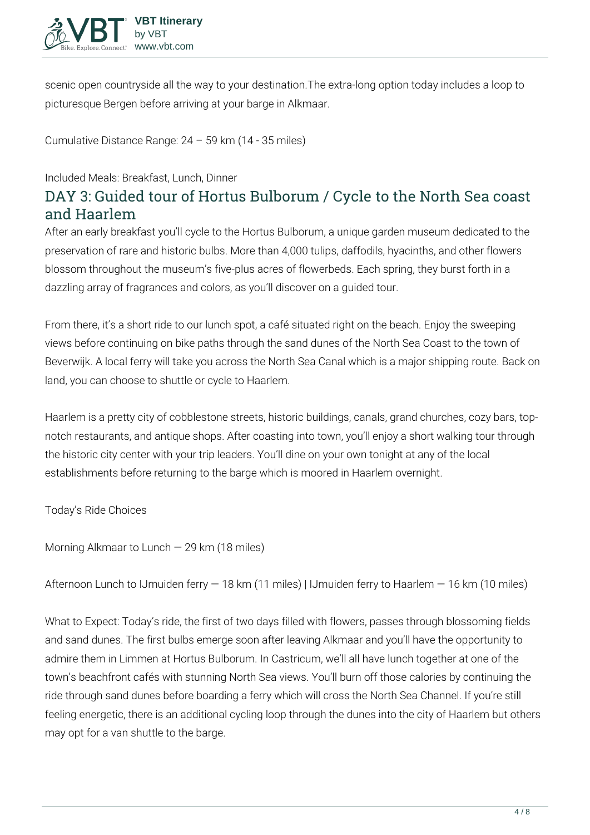

scenic open countryside all the way to your destination.The extra-long option today includes a loop to picturesque Bergen before arriving at your barge in Alkmaar.

**Cumulative Distance Range:** 24 – 59 km (14 - 35 miles)

#### **Included Meals:** Breakfast, Lunch, Dinner

### **DAY 3: Guided tour of Hortus Bulborum / Cycle to the North Sea coast and Haarlem**

After an early breakfast you'll cycle to the Hortus Bulborum, a unique garden museum dedicated to the preservation of rare and historic bulbs. More than 4,000 tulips, daffodils, hyacinths, and other flowers blossom throughout the museum's five-plus acres of flowerbeds. Each spring, they burst forth in a dazzling array of fragrances and colors, as you'll discover on a guided tour.

From there, it's a short ride to our lunch spot, a café situated right on the beach. Enjoy the sweeping views before continuing on bike paths through the sand dunes of the North Sea Coast to the town of Beverwijk. A local ferry will take you across the North Sea Canal which is a major shipping route. Back on land, you can choose to shuttle or cycle to Haarlem.

Haarlem is a pretty city of cobblestone streets, historic buildings, canals, grand churches, cozy bars, topnotch restaurants, and antique shops. After coasting into town, you'll enjoy a short walking tour through the historic city center with your trip leaders. You'll dine on your own tonight at any of the local establishments before returning to the barge which is moored in Haarlem overnight.

**Today's Ride Choices**

**Morning** Alkmaar to Lunch — 29 km (18 miles)

**Afternoon** Lunch to IJmuiden ferry — 18 km (11 miles) | IJmuiden ferry to Haarlem — 16 km (10 miles)

**What to Expect:** Today's ride, the first of two days filled with flowers, passes through blossoming fields and sand dunes. The first bulbs emerge soon after leaving Alkmaar and you'll have the opportunity to admire them in Limmen at Hortus Bulborum. In Castricum, we'll all have lunch together at one of the town's beachfront cafés with stunning North Sea views. You'll burn off those calories by continuing the ride through sand dunes before boarding a ferry which will cross the North Sea Channel. If you're still feeling energetic, there is an additional cycling loop through the dunes into the city of Haarlem but others may opt for a van shuttle to the barge.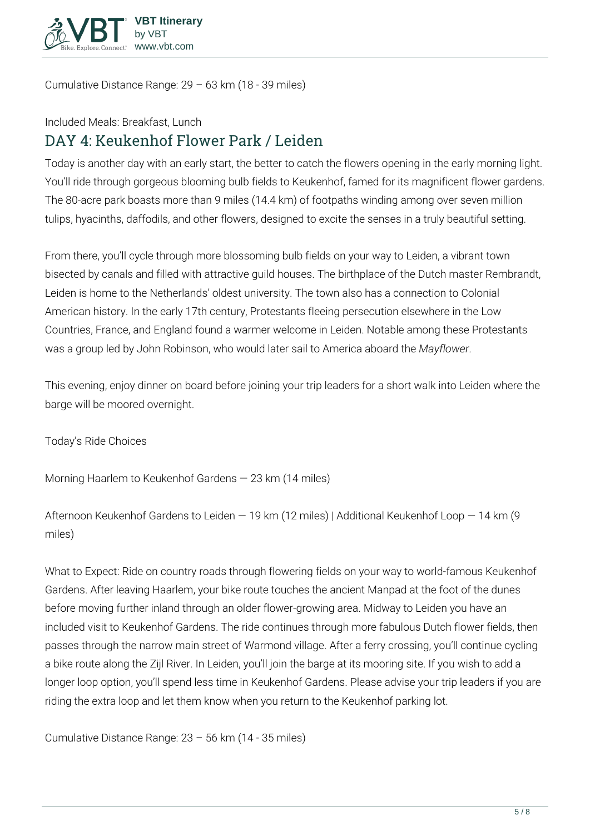

**Cumulative Distance Range:** 29 – 63 km (18 - 39 miles)

#### **Included Meals:** Breakfast, Lunch

### **DAY 4: Keukenhof Flower Park / Leiden**

Today is another day with an early start, the better to catch the flowers opening in the early morning light. You'll ride through gorgeous blooming bulb fields to Keukenhof, famed for its magnificent flower gardens. The 80-acre park boasts more than 9 miles (14.4 km) of footpaths winding among over seven million tulips, hyacinths, daffodils, and other flowers, designed to excite the senses in a truly beautiful setting.

From there, you'll cycle through more blossoming bulb fields on your way to Leiden, a vibrant town bisected by canals and filled with attractive guild houses. The birthplace of the Dutch master Rembrandt, Leiden is home to the Netherlands' oldest university. The town also has a connection to Colonial American history. In the early 17th century, Protestants fleeing persecution elsewhere in the Low Countries, France, and England found a warmer welcome in Leiden. Notable among these Protestants was a group led by John Robinson, who would later sail to America aboard the *Mayflower*.

This evening, enjoy dinner on board before joining your trip leaders for a short walk into Leiden where the barge will be moored overnight.

**Today's Ride Choices**

**Morning** Haarlem to Keukenhof Gardens — 23 km (14 miles)

**Afternoon** Keukenhof Gardens to Leiden — 19 km (12 miles) | Additional Keukenhof Loop — 14 km (9 miles)

**What to Expect:** Ride on country roads through flowering fields on your way to world-famous Keukenhof Gardens. After leaving Haarlem, your bike route touches the ancient Manpad at the foot of the dunes before moving further inland through an older flower-growing area. Midway to Leiden you have an included visit to Keukenhof Gardens. The ride continues through more fabulous Dutch flower fields, then passes through the narrow main street of Warmond village. After a ferry crossing, you'll continue cycling a bike route along the Zijl River. In Leiden, you'll join the barge at its mooring site. If you wish to add a longer loop option, you'll spend less time in Keukenhof Gardens. Please advise your trip leaders if you are riding the extra loop and let them know when you return to the Keukenhof parking lot.

**Cumulative Distance Range:** 23 – 56 km (14 - 35 miles)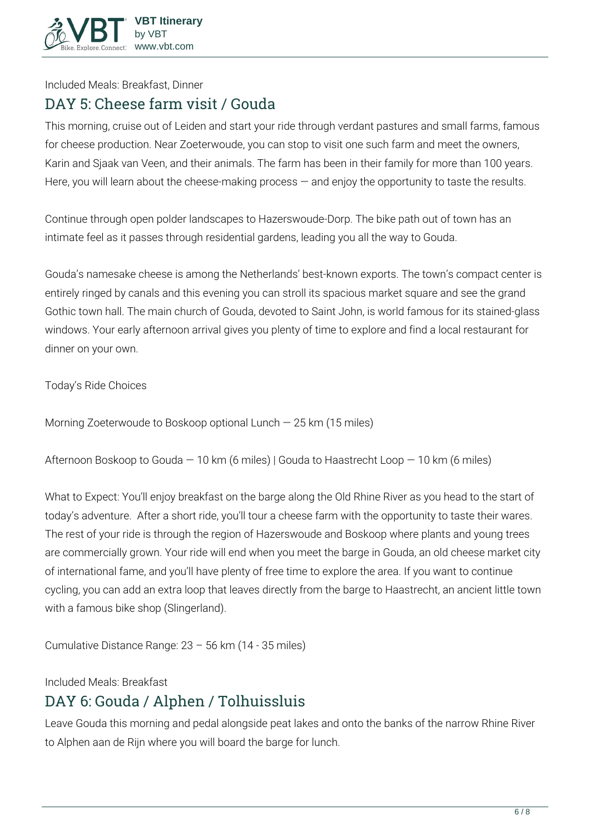

**Included Meals:** Breakfast, Dinner

## **DAY 5: Cheese farm visit / Gouda**

This morning, cruise out of Leiden and start your ride through verdant pastures and small farms, famous for cheese production. Near Zoeterwoude, you can stop to visit one such farm and meet the owners, Karin and Sjaak van Veen, and their animals. The farm has been in their family for more than 100 years. Here, you will learn about the cheese-making process — and enjoy the opportunity to taste the results.

Continue through open polder landscapes to Hazerswoude-Dorp. The bike path out of town has an intimate feel as it passes through residential gardens, leading you all the way to Gouda.

Gouda's namesake cheese is among the Netherlands' best-known exports. The town's compact center is entirely ringed by canals and this evening you can stroll its spacious market square and see the grand Gothic town hall. The main church of Gouda, devoted to Saint John, is world famous for its stained-glass windows. Your early afternoon arrival gives you plenty of time to explore and find a local restaurant for dinner on your own.

**Today's Ride Choices**

**Morning** Zoeterwoude to Boskoop optional Lunch — 25 km (15 miles)

**Afternoon** Boskoop to Gouda — 10 km (6 miles) | Gouda to Haastrecht Loop — 10 km (6 miles)

**What to Expect:** You'll enjoy breakfast on the barge along the Old Rhine River as you head to the start of today's adventure. After a short ride, you'll tour a cheese farm with the opportunity to taste their wares. The rest of your ride is through the region of Hazerswoude and Boskoop where plants and young trees are commercially grown. Your ride will end when you meet the barge in Gouda, an old cheese market city of international fame, and you'll have plenty of free time to explore the area. If you want to continue cycling, you can add an extra loop that leaves directly from the barge to Haastrecht, an ancient little town with a famous bike shop (Slingerland).

**Cumulative Distance Range:** 23 – 56 km (14 - 35 miles)

**Included Meals:** Breakfast

## **DAY 6: Gouda / Alphen / Tolhuissluis**

Leave Gouda this morning and pedal alongside peat lakes and onto the banks of the narrow Rhine River to Alphen aan de Rijn where you will board the barge for lunch.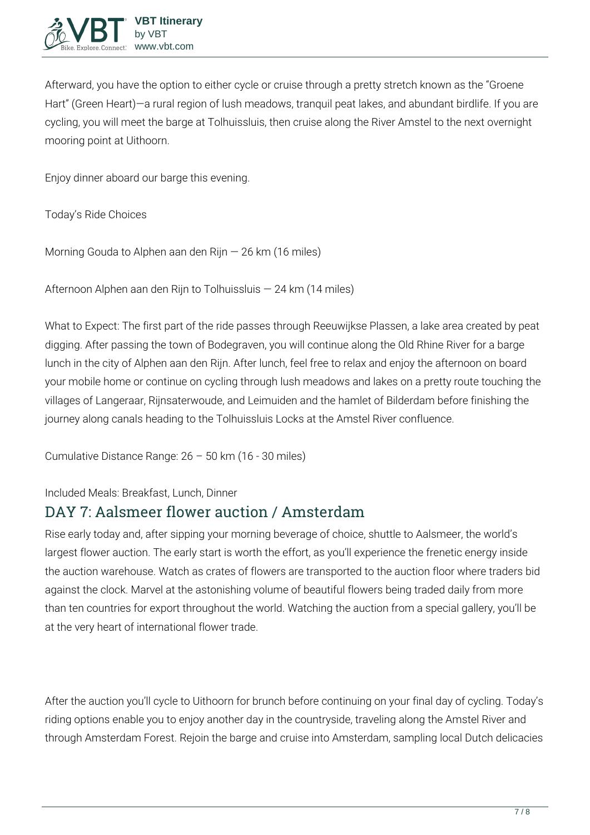Afterward, you have the option to either cycle or cruise through a pretty stretch known as the "Groene Hart" (Green Heart)—a rural region of lush meadows, tranquil peat lakes, and abundant birdlife. If you are cycling, you will meet the barge at Tolhuissluis, then cruise along the River Amstel to the next overnight mooring point at Uithoorn.

Enjoy dinner aboard our barge this evening.

**Today's Ride Choices**

**Morning** Gouda to Alphen aan den Rijn — 26 km (16 miles)

**Afternoon** Alphen aan den Rijn to Tolhuissluis — 24 km (14 miles)

**What to Expect:** The first part of the ride passes through Reeuwijkse Plassen, a lake area created by peat digging. After passing the town of Bodegraven, you will continue along the Old Rhine River for a barge lunch in the city of Alphen aan den Rijn. After lunch, feel free to relax and enjoy the afternoon on board your mobile home or continue on cycling through lush meadows and lakes on a pretty route touching the villages of Langeraar, Rijnsaterwoude, and Leimuiden and the hamlet of Bilderdam before finishing the journey along canals heading to the Tolhuissluis Locks at the Amstel River confluence.

**Cumulative Distance Range:** 26 – 50 km (16 - 30 miles)

**Included Meals:** Breakfast, Lunch, Dinner

### **DAY 7: Aalsmeer flower auction / Amsterdam**

Rise early today and, after sipping your morning beverage of choice, shuttle to Aalsmeer, the world's largest flower auction. The early start is worth the effort, as you'll experience the frenetic energy inside the auction warehouse. Watch as crates of flowers are transported to the auction floor where traders bid against the clock. Marvel at the astonishing volume of beautiful flowers being traded daily from more than ten countries for export throughout the world. Watching the auction from a special gallery, you'll be at the very heart of international flower trade.

After the auction you'll cycle to Uithoorn for brunch before continuing on your final day of cycling. Today's riding options enable you to enjoy another day in the countryside, traveling along the Amstel River and through Amsterdam Forest. Rejoin the barge and cruise into Amsterdam, sampling local Dutch delicacies